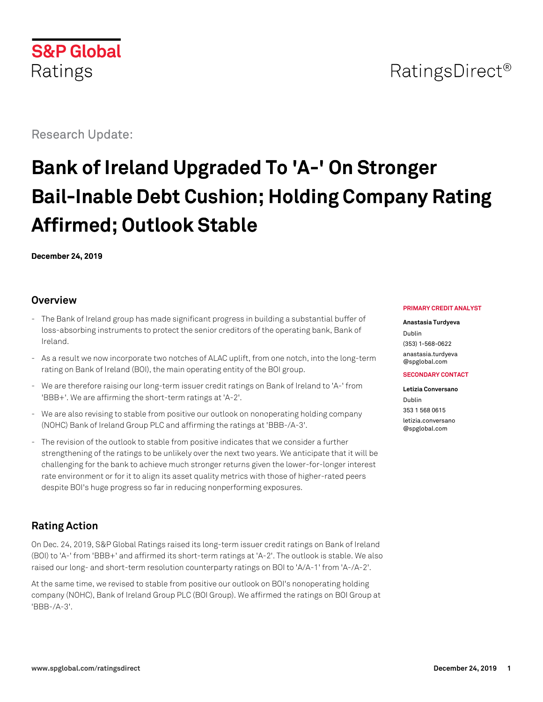

# RatingsDirect<sup>®</sup>

Research Update:

# **Bank of Ireland Upgraded To 'A-' On Stronger Bail-Inable Debt Cushion; Holding Company Rating Affirmed; Outlook Stable**

**December 24, 2019**

#### **Overview**

- The Bank of Ireland group has made significant progress in building a substantial buffer of loss-absorbing instruments to protect the senior creditors of the operating bank, Bank of Ireland.
- As a result we now incorporate two notches of ALAC uplift, from one notch, into the long-term rating on Bank of Ireland (BOI), the main operating entity of the BOI group.
- We are therefore raising our long-term issuer credit ratings on Bank of Ireland to 'A-' from 'BBB+'. We are affirming the short-term ratings at 'A-2'.
- We are also revising to stable from positive our outlook on nonoperating holding company (NOHC) Bank of Ireland Group PLC and affirming the ratings at 'BBB-/A-3'.
- The revision of the outlook to stable from positive indicates that we consider a further strengthening of the ratings to be unlikely over the next two years. We anticipate that it will be challenging for the bank to achieve much stronger returns given the lower-for-longer interest rate environment or for it to align its asset quality metrics with those of higher-rated peers despite BOI's huge progress so far in reducing nonperforming exposures.

# **Rating Action**

On Dec. 24, 2019, S&P Global Ratings raised its long-term issuer credit ratings on Bank of Ireland (BOI) to 'A-' from 'BBB+' and affirmed its short-term ratings at 'A-2'. The outlook is stable. We also raised our long- and short-term resolution counterparty ratings on BOI to 'A/A-1' from 'A-/A-2'.

At the same time, we revised to stable from positive our outlook on BOI's nonoperating holding company (NOHC), Bank of Ireland Group PLC (BOI Group). We affirmed the ratings on BOI Group at 'BBB-/A-3'.

#### **PRIMARY CREDIT ANALYST**

#### **Anastasia Turdyeva**

Dublin (353) 1-568-0622 [anastasia.turdyeva](mailto:anastasia.turdyeva@spglobal.com) [@spglobal.com](mailto:anastasia.turdyeva@spglobal.com)

#### **SECONDARY CONTACT**

**Letizia Conversano** Dublin 353 1 568 0615 [letizia.conversano](mailto:letizia.conversano@spglobal.com) [@spglobal.com](mailto:letizia.conversano@spglobal.com)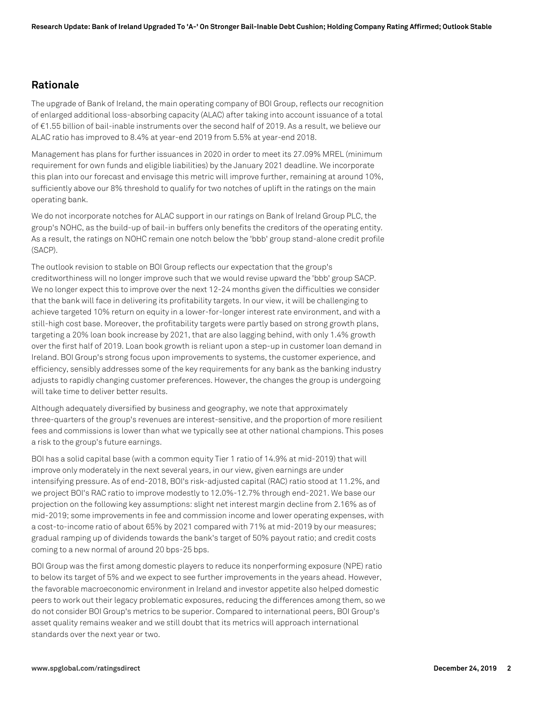#### **Rationale**

The upgrade of Bank of Ireland, the main operating company of BOI Group, reflects our recognition of enlarged additional loss-absorbing capacity (ALAC) after taking into account issuance of a total of €1.55 billion of bail-inable instruments over the second half of 2019. As a result, we believe our ALAC ratio has improved to 8.4% at year-end 2019 from 5.5% at year-end 2018.

Management has plans for further issuances in 2020 in order to meet its 27.09% MREL (minimum requirement for own funds and eligible liabilities) by the January 2021 deadline. We incorporate this plan into our forecast and envisage this metric will improve further, remaining at around 10%, sufficiently above our 8% threshold to qualify for two notches of uplift in the ratings on the main operating bank.

We do not incorporate notches for ALAC support in our ratings on Bank of Ireland Group PLC, the group's NOHC, as the build-up of bail-in buffers only benefits the creditors of the operating entity. As a result, the ratings on NOHC remain one notch below the 'bbb' group stand-alone credit profile (SACP).

The outlook revision to stable on BOI Group reflects our expectation that the group's creditworthiness will no longer improve such that we would revise upward the 'bbb' group SACP. We no longer expect this to improve over the next 12-24 months given the difficulties we consider that the bank will face in delivering its profitability targets. In our view, it will be challenging to achieve targeted 10% return on equity in a lower-for-longer interest rate environment, and with a still-high cost base. Moreover, the profitability targets were partly based on strong growth plans, targeting a 20% loan book increase by 2021, that are also lagging behind, with only 1.4% growth over the first half of 2019. Loan book growth is reliant upon a step-up in customer loan demand in Ireland. BOI Group's strong focus upon improvements to systems, the customer experience, and efficiency, sensibly addresses some of the key requirements for any bank as the banking industry adjusts to rapidly changing customer preferences. However, the changes the group is undergoing will take time to deliver better results.

Although adequately diversified by business and geography, we note that approximately three-quarters of the group's revenues are interest-sensitive, and the proportion of more resilient fees and commissions is lower than what we typically see at other national champions. This poses a risk to the group's future earnings.

BOI has a solid capital base (with a common equity Tier 1 ratio of 14.9% at mid-2019) that will improve only moderately in the next several years, in our view, given earnings are under intensifying pressure. As of end-2018, BOI's risk-adjusted capital (RAC) ratio stood at 11.2%, and we project BOI's RAC ratio to improve modestly to 12.0%-12.7% through end-2021. We base our projection on the following key assumptions: slight net interest margin decline from 2.16% as of mid-2019; some improvements in fee and commission income and lower operating expenses, with a cost-to-income ratio of about 65% by 2021 compared with 71% at mid-2019 by our measures; gradual ramping up of dividends towards the bank's target of 50% payout ratio; and credit costs coming to a new normal of around 20 bps-25 bps.

BOI Group was the first among domestic players to reduce its nonperforming exposure (NPE) ratio to below its target of 5% and we expect to see further improvements in the years ahead. However, the favorable macroeconomic environment in Ireland and investor appetite also helped domestic peers to work out their legacy problematic exposures, reducing the differences among them, so we do not consider BOI Group's metrics to be superior. Compared to international peers, BOI Group's asset quality remains weaker and we still doubt that its metrics will approach international standards over the next year or two.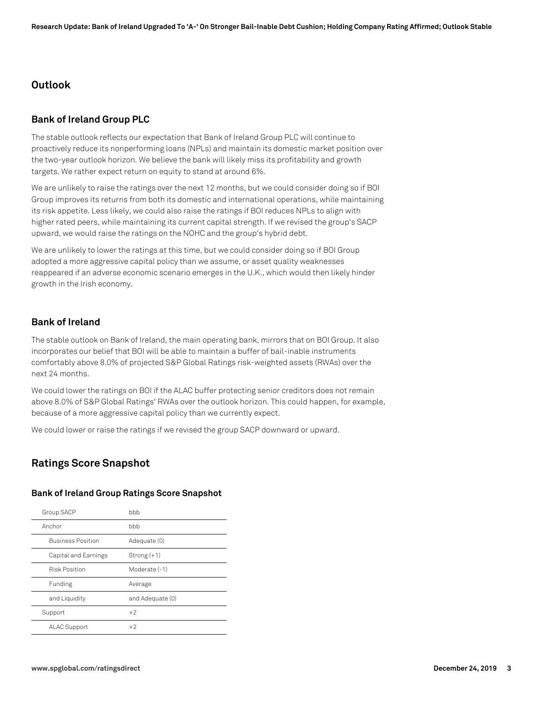#### **Outlook**

#### **Bank of Ireland Group PLC**

The stable outlook reflects our expectation that Bank of Ireland Group PLC will continue to proactively reduce its nonperforming loans (NPLs) and maintain its domestic market position over the two-year outlook horizon. We believe the bank will likely miss its profitability and growth targets. We rather expect return on equity to stand at around 6%.

We are unlikely to raise the ratings over the next 12 months, but we could consider doing so if BOI Group improves its returns from both its domestic and international operations, while maintaining its risk appetite. Less likely, we could also raise the ratings if BOI reduces NPLs to align with higher rated peers, while maintaining its current capital strength. If we revised the group's SACP upward, we would raise the ratings on the NOHC and the group's hybrid debt.

We are unlikely to lower the ratings at this time, but we could consider doing so if BOI Group adopted a more aggressive capital policy than we assume, or asset quality weaknesses reappeared if an adverse economic scenario emerges in the U.K., which would then likely hinder growth in the Irish economy.

#### **Bank of Ireland**

The stable outlook on Bank of Ireland, the main operating bank, mirrors that on BOI Group. It also incorporates our belief that BOI will be able to maintain a buffer of bail-inable instruments comfortably above 8.0% of projected S&P Global Ratings risk-weighted assets (RWAs) over the next 24 months.

We could lower the ratings on BOI if the ALAC buffer protecting senior creditors does not remain above 8.0% of S&P Global Ratings' RWAs over the outlook horizon. This could happen, for example, because of a more aggressive capital policy than we currently expect.

We could lower or raise the ratings if we revised the group SACP downward or upward.

# **Ratings Score Snapshot**

#### **Bank of Ireland Group Ratings Score Snapshot**

| Group SACP               | bbb              |
|--------------------------|------------------|
| Anchor                   | bbb              |
| <b>Business Position</b> | Adequate (0)     |
| Capital and Earnings     | $Strong(+1)$     |
| <b>Risk Position</b>     | Moderate (-1)    |
| Funding                  | Average          |
| and Liquidity            | and Adequate (0) |
| Support                  | $+2$             |
| <b>ALAC Support</b>      | $+2$             |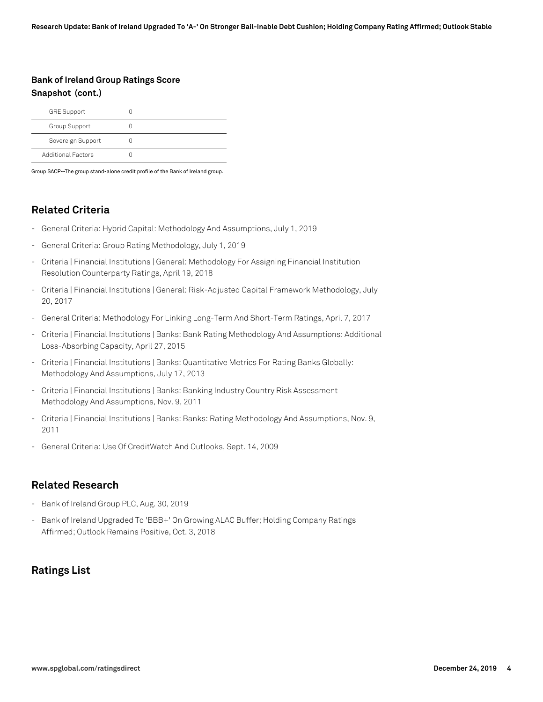# **Bank of Ireland Group Ratings Score Snapshot (cont.)**

| <b>GRE Support</b>        |  |
|---------------------------|--|
| Group Support             |  |
| Sovereign Support         |  |
| <b>Additional Factors</b> |  |

Group SACP--The group stand-alone credit profile of the Bank of Ireland group.

# **Related Criteria**

- General Criteria: Hybrid Capital: Methodology And Assumptions, July 1, 2019
- General Criteria: Group Rating Methodology, July 1, 2019
- Criteria | Financial Institutions | General: Methodology For Assigning Financial Institution Resolution Counterparty Ratings, April 19, 2018
- Criteria | Financial Institutions | General: Risk-Adjusted Capital Framework Methodology, July 20, 2017
- General Criteria: Methodology For Linking Long-Term And Short-Term Ratings, April 7, 2017
- Criteria | Financial Institutions | Banks: Bank Rating Methodology And Assumptions: Additional Loss-Absorbing Capacity, April 27, 2015
- Criteria | Financial Institutions | Banks: Quantitative Metrics For Rating Banks Globally: Methodology And Assumptions, July 17, 2013
- Criteria | Financial Institutions | Banks: Banking Industry Country Risk Assessment Methodology And Assumptions, Nov. 9, 2011
- Criteria | Financial Institutions | Banks: Banks: Rating Methodology And Assumptions, Nov. 9, 2011
- General Criteria: Use Of CreditWatch And Outlooks, Sept. 14, 2009

#### **Related Research**

- Bank of Ireland Group PLC, Aug. 30, 2019
- Bank of Ireland Upgraded To 'BBB+' On Growing ALAC Buffer; Holding Company Ratings Affirmed; Outlook Remains Positive, Oct. 3, 2018

# **Ratings List**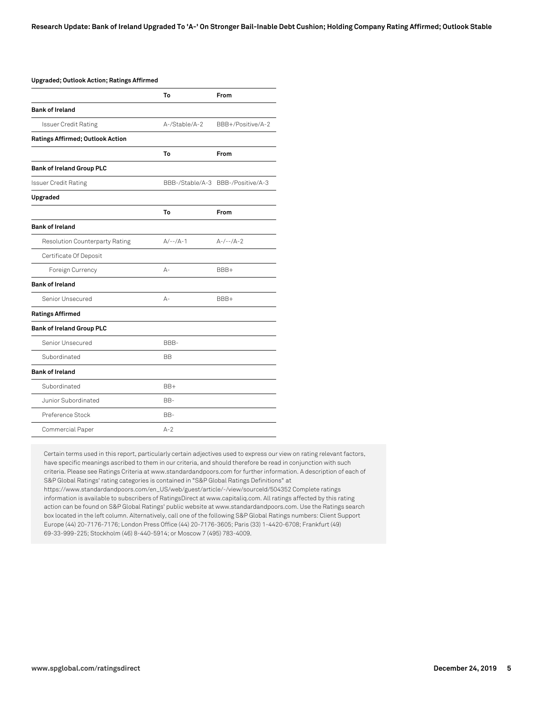| <b>Upgraded; Outlook Action; Ratings Affirmed</b> |               |                                   |
|---------------------------------------------------|---------------|-----------------------------------|
|                                                   | To            | From                              |
| <b>Bank of Ireland</b>                            |               |                                   |
| <b>Issuer Credit Rating</b>                       | A-/Stable/A-2 | BBB+/Positive/A-2                 |
| <b>Ratings Affirmed; Outlook Action</b>           |               |                                   |
|                                                   | To            | From                              |
| <b>Bank of Ireland Group PLC</b>                  |               |                                   |
| <b>Issuer Credit Rating</b>                       |               | BBB-/Stable/A-3 BBB-/Positive/A-3 |
| Upgraded                                          |               |                                   |
|                                                   | To            | From                              |
| <b>Bank of Ireland</b>                            |               |                                   |
| <b>Resolution Counterparty Rating</b>             | $A/--/A-1$    | $A-/--/A-2$                       |
| Certificate Of Deposit                            |               |                                   |
| Foreign Currency                                  | $A -$         | BBB+                              |
| <b>Bank of Ireland</b>                            |               |                                   |
| Senior Unsecured                                  | $A -$         | BBB+                              |
| <b>Ratings Affirmed</b>                           |               |                                   |
| <b>Bank of Ireland Group PLC</b>                  |               |                                   |
| Senior Unsecured                                  | BBB-          |                                   |
| Subordinated                                      | <b>BB</b>     |                                   |
| <b>Bank of Ireland</b>                            |               |                                   |
| Subordinated                                      | BB+           |                                   |
| Junior Subordinated                               | BB-           |                                   |
| Preference Stock                                  | BB-           |                                   |
| Commercial Paper                                  | $A-2$         |                                   |

Certain terms used in this report, particularly certain adjectives used to express our view on rating relevant factors, have specific meanings ascribed to them in our criteria, and should therefore be read in conjunction with such criteria. Please see Ratings Criteria at www.standardandpoors.com for further information. A description of each of S&P Global Ratings' rating categories is contained in "S&P Global Ratings Definitions" at https://www.standardandpoors.com/en\_US/web/guest/article/-/view/sourceId/504352 Complete ratings information is available to subscribers of RatingsDirect at www.capitaliq.com. All ratings affected by this rating action can be found on S&P Global Ratings' public website at www.standardandpoors.com. Use the Ratings search box located in the left column. Alternatively, call one of the following S&P Global Ratings numbers: Client Support Europe (44) 20-7176-7176; London Press Office (44) 20-7176-3605; Paris (33) 1-4420-6708; Frankfurt (49) 69-33-999-225; Stockholm (46) 8-440-5914; or Moscow 7 (495) 783-4009.